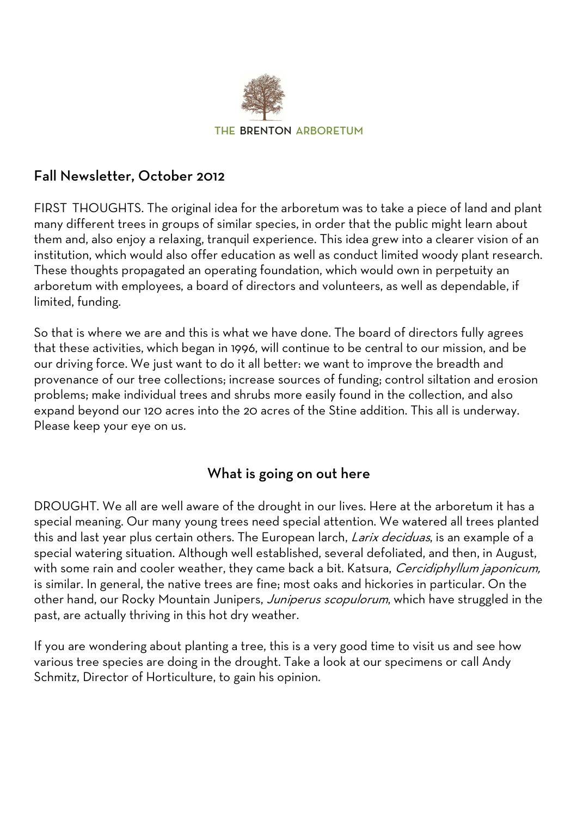

## Fall Newsletter, October 2012

FIRST THOUGHTS. The original idea for the arboretum was to take a piece of land and plant many different trees in groups of similar species, in order that the public might learn about them and, also enjoy a relaxing, tranquil experience. This idea grew into a clearer vision of an institution, which would also offer education as well as conduct limited woody plant research. These thoughts propagated an operating foundation, which would own in perpetuity an arboretum with employees, a board of directors and volunteers, as well as dependable, if limited, funding.

So that is where we are and this is what we have done. The board of directors fully agrees that these activities, which began in 1996, will continue to be central to our mission, and be our driving force. We just want to do it all better: we want to improve the breadth and provenance of our tree collections; increase sources of funding; control siltation and erosion problems; make individual trees and shrubs more easily found in the collection, and also expand beyond our 120 acres into the 20 acres of the Stine addition. This all is underway. Please keep your eye on us.

## What is going on out here

DROUGHT. We all are well aware of the drought in our lives. Here at the arboretum it has a special meaning. Our many young trees need special attention. We watered all trees planted this and last year plus certain others. The European larch, Larix deciduas, is an example of a special watering situation. Although well established, several defoliated, and then, in August, with some rain and cooler weather, they came back a bit. Katsura, Cercidiphyllum japonicum, is similar. In general, the native trees are fine; most oaks and hickories in particular. On the other hand, our Rocky Mountain Junipers, Juniperus scopulorum, which have struggled in the past, are actually thriving in this hot dry weather.

If you are wondering about planting a tree, this is a very good time to visit us and see how various tree species are doing in the drought. Take a look at our specimens or call Andy Schmitz, Director of Horticulture, to gain his opinion.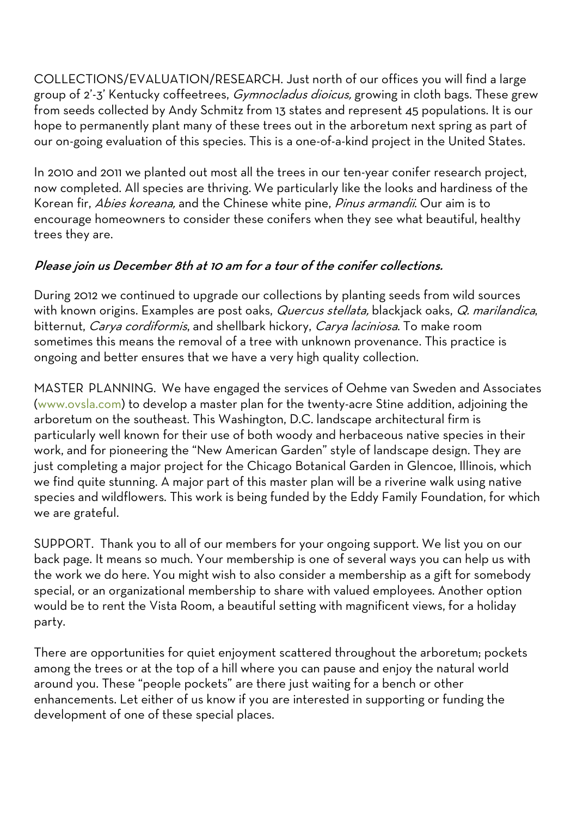COLLECTIONS/EVALUATION/RESEARCH. Just north of our offices you will find a large group of 2'-3' Kentucky coffeetrees, *Gymnocladus dioicus*, growing in cloth bags. These grew from seeds collected by Andy Schmitz from 13 states and represent 45 populations. It is our hope to permanently plant many of these trees out in the arboretum next spring as part of our on-going evaluation of this species. This is a one-of-a-kind project in the United States.

In 2010 and 2011 we planted out most all the trees in our ten-year conifer research project, now completed. All species are thriving. We particularly like the looks and hardiness of the Korean fir, Abies koreana, and the Chinese white pine, Pinus armandii. Our aim is to encourage homeowners to consider these conifers when they see what beautiful, healthy trees they are.

## Please join us December 8th at 10 am for a tour of the conifer collections.

During 2012 we continued to upgrade our collections by planting seeds from wild sources with known origins. Examples are post oaks, Quercus stellata, blackjack oaks, Q. marilandica, bitternut, *Carya cordiformis*, and shellbark hickory, *Carya laciniosa*. To make room sometimes this means the removal of a tree with unknown provenance. This practice is ongoing and better ensures that we have a very high quality collection.

MASTER PLANNING. We have engaged the services of Oehme van Sweden and Associates (www.ovsla.com) to develop a master plan for the twenty-acre Stine addition, adjoining the arboretum on the southeast. This Washington, D.C. landscape architectural firm is particularly well known for their use of both woody and herbaceous native species in their work, and for pioneering the "New American Garden" style of landscape design. They are just completing a major project for the Chicago Botanical Garden in Glencoe, Illinois, which we find quite stunning. A major part of this master plan will be a riverine walk using native species and wildflowers. This work is being funded by the Eddy Family Foundation, for which we are grateful.

SUPPORT. Thank you to all of our members for your ongoing support. We list you on our back page. It means so much. Your membership is one of several ways you can help us with the work we do here. You might wish to also consider a membership as a gift for somebody special, or an organizational membership to share with valued employees. Another option would be to rent the Vista Room, a beautiful setting with magnificent views, for a holiday party.

There are opportunities for quiet enjoyment scattered throughout the arboretum; pockets among the trees or at the top of a hill where you can pause and enjoy the natural world around you. These "people pockets" are there just waiting for a bench or other enhancements. Let either of us know if you are interested in supporting or funding the development of one of these special places.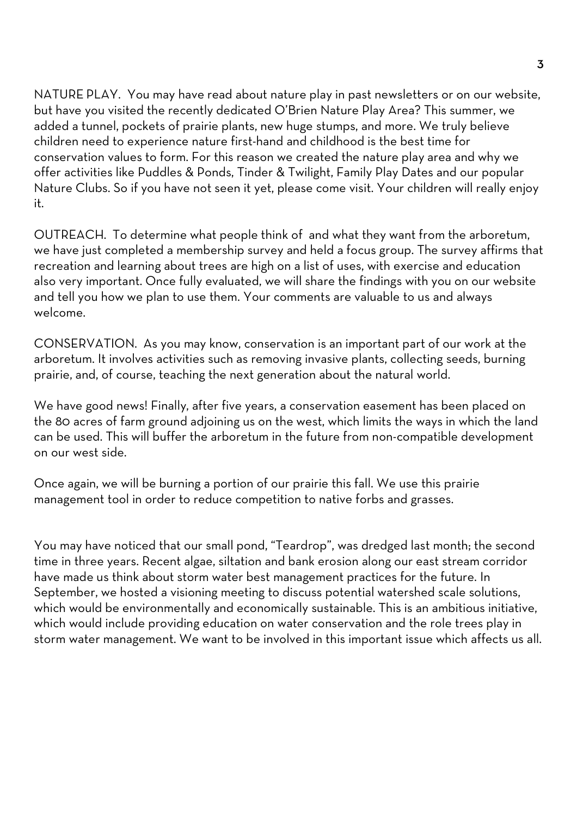NATURE PLAY. You may have read about nature play in past newsletters or on our website, but have you visited the recently dedicated O'Brien Nature Play Area? This summer, we added a tunnel, pockets of prairie plants, new huge stumps, and more. We truly believe children need to experience nature first-hand and childhood is the best time for conservation values to form. For this reason we created the nature play area and why we offer activities like Puddles & Ponds, Tinder & Twilight, Family Play Dates and our popular Nature Clubs. So if you have not seen it yet, please come visit. Your children will really enjoy it.

OUTREACH. To determine what people think of and what they want from the arboretum, we have just completed a membership survey and held a focus group. The survey affirms that recreation and learning about trees are high on a list of uses, with exercise and education also very important. Once fully evaluated, we will share the findings with you on our website and tell you how we plan to use them. Your comments are valuable to us and always welcome.

CONSERVATION. As you may know, conservation is an important part of our work at the arboretum. It involves activities such as removing invasive plants, collecting seeds, burning prairie, and, of course, teaching the next generation about the natural world.

We have good news! Finally, after five years, a conservation easement has been placed on the 80 acres of farm ground adjoining us on the west, which limits the ways in which the land can be used. This will buffer the arboretum in the future from non-compatible development on our west side.

Once again, we will be burning a portion of our prairie this fall. We use this prairie management tool in order to reduce competition to native forbs and grasses.

You may have noticed that our small pond, "Teardrop", was dredged last month; the second time in three years. Recent algae, siltation and bank erosion along our east stream corridor have made us think about storm water best management practices for the future. In September, we hosted a visioning meeting to discuss potential watershed scale solutions, which would be environmentally and economically sustainable. This is an ambitious initiative, which would include providing education on water conservation and the role trees play in storm water management. We want to be involved in this important issue which affects us all.